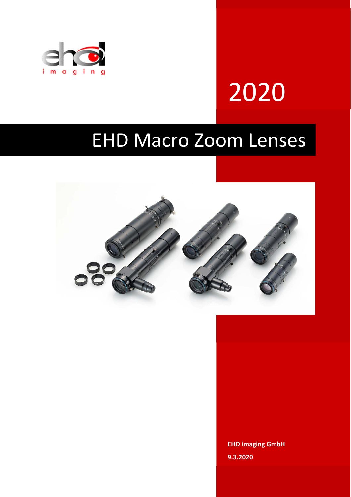

# 2020

## EHD Macro Zoom Lenses



**EHD imaging GmbH 9.3.2020**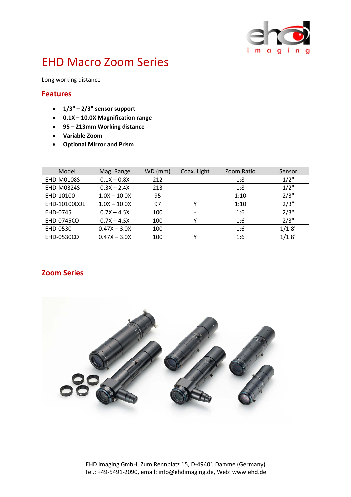

### EHD Macro Zoom Series

Long working distance

#### **Features**

- **1/3" 2/3" sensor support**
- **0.1X 10.0X Magnification range**
- **95 213mm Working distance**
- **Variable Zoom**
- **Optional Mirror and Prism**

| Model               | Mag. Range     | WD (mm) | Coax. Light              | Zoom Ratio | Sensor  |
|---------------------|----------------|---------|--------------------------|------------|---------|
| <b>EHD-M0108S</b>   | $0.1X - 0.8X$  | 212     |                          | 1:8        | $1/2$ " |
| EHD-M0324S          | $0.3X - 2.4X$  | 213     |                          | 1:8        | 1/2"    |
| EHD-10100           | $1.0X - 10.0X$ | 95      | $\overline{\phantom{a}}$ | 1:10       | 2/3"    |
| <b>EHD-10100COL</b> | $1.0X - 10.0X$ | 97      |                          | 1:10       | 2/3"    |
| EHD-0745            | $0.7X - 4.5X$  | 100     |                          | 1:6        | 2/3"    |
| EHD-0745CO          | $0.7X - 4.5X$  | 100     |                          | 1:6        | 2/3"    |
| EHD-0530            | $0.47X - 3.0X$ | 100     |                          | 1:6        | 1/1.8"  |
| EHD-0530CO          | $0.47X - 3.0X$ | 100     |                          | 1:6        | 1/1.8"  |

#### **Zoom Series**

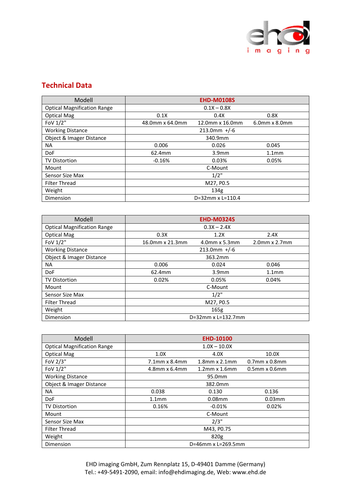

#### **Technical Data**

| Modell                             | <b>EHD-M0108S</b>   |                   |                     |  |
|------------------------------------|---------------------|-------------------|---------------------|--|
| <b>Optical Magnification Range</b> | $0.1X - 0.8X$       |                   |                     |  |
| <b>Optical Mag</b>                 | 0.1X                | 0.4X              | 0.8X                |  |
| FoV 1/2"                           | 48.0mm x 64.0mm     | 12.0mm x 16.0mm   | $6.0$ mm x $8.0$ mm |  |
| <b>Working Distance</b>            |                     | $213.0$ mm +/-6   |                     |  |
| Object & Imager Distance           |                     | 340.9mm           |                     |  |
| ΝA                                 | 0.006               | 0.026             | 0.045               |  |
| <b>DoF</b>                         | 62.4mm              | 3.9 <sub>mm</sub> | 1.1 <sub>mm</sub>   |  |
| <b>TV Distortion</b>               | $-0.16%$            | 0.03%             | 0.05%               |  |
| Mount                              | C-Mount             |                   |                     |  |
| Sensor Size Max                    | 1/2"                |                   |                     |  |
| <b>Filter Thread</b>               | M27, P0.5           |                   |                     |  |
| Weight                             | 134 <sub>g</sub>    |                   |                     |  |
| Dimension                          | $D=32$ mm x L=110.4 |                   |                     |  |

| Modell                             | <b>EHD-M0324S</b>     |                   |                     |  |
|------------------------------------|-----------------------|-------------------|---------------------|--|
| <b>Optical Magnification Range</b> | $0.3X - 2.4X$         |                   |                     |  |
| <b>Optical Mag</b>                 | 0.3X                  | 1.2X              | 2.4X                |  |
| FoV 1/2"                           | 16.0mm x 21.3mm       | $4.0$ mm x 5.3mm  | $2.0$ mm x $2.7$ mm |  |
| <b>Working Distance</b>            |                       | $213.0$ mm +/-6   |                     |  |
| Object & Imager Distance           | 363.2mm               |                   |                     |  |
| <b>NA</b>                          | 0.006                 | 0.024             | 0.046               |  |
| <b>DoF</b>                         | 62.4mm                | 3.9 <sub>mm</sub> | 1.1 <sub>mm</sub>   |  |
| <b>TV Distortion</b>               | 0.02%                 | 0.05%             | 0.04%               |  |
| Mount                              | C-Mount               |                   |                     |  |
| Sensor Size Max                    | 1/2"                  |                   |                     |  |
| <b>Filter Thread</b>               | M27, P0.5             |                   |                     |  |
| Weight                             | 165g                  |                   |                     |  |
| Dimension                          | $D=32$ mm x L=132.7mm |                   |                     |  |

| Modell                             |                     | <b>EHD-10100</b>    |                     |  |
|------------------------------------|---------------------|---------------------|---------------------|--|
| <b>Optical Magnification Range</b> | $1.0X - 10.0X$      |                     |                     |  |
| <b>Optical Mag</b>                 | 1.0X                | 4.0X                | 10.0X               |  |
| FoV 2/3"                           | $7.1$ mm x $8.4$ mm | $1.8$ mm x $2.1$ mm | $0.7$ mm x $0.8$ mm |  |
| FoV 1/2"                           | $4.8$ mm x 6.4mm    | $1.2$ mm x $1.6$ mm | $0.5$ mm x $0.6$ mm |  |
| <b>Working Distance</b>            |                     | 95.0mm              |                     |  |
| Object & Imager Distance           | 382.0mm             |                     |                     |  |
| NA.                                | 0.038               | 0.130               | 0.136               |  |
| <b>DoF</b>                         | 1.1 <sub>mm</sub>   | $0.08$ mm           | $0.03$ mm           |  |
| <b>TV Distortion</b>               | 0.16%               | $-0.01%$            | 0.02%               |  |
| Mount                              | C-Mount             |                     |                     |  |
| Sensor Size Max                    | 2/3"                |                     |                     |  |
| <b>Filter Thread</b>               | M43, P0.75          |                     |                     |  |
| Weight                             | 820g                |                     |                     |  |
| Dimension                          | D=46mm x L=269.5mm  |                     |                     |  |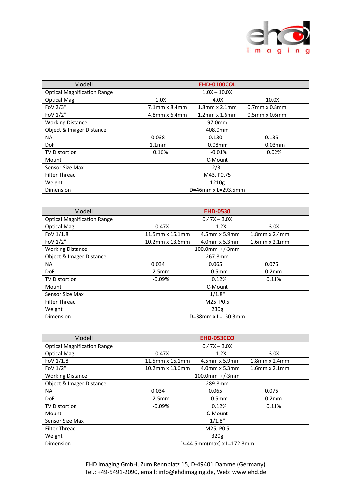

| Modell                             | <b>EHD-0100COL</b> |                     |                     |  |
|------------------------------------|--------------------|---------------------|---------------------|--|
| <b>Optical Magnification Range</b> | $1.0X - 10.0X$     |                     |                     |  |
| <b>Optical Mag</b>                 | 1.0X               | 4.0X                | 10.0X               |  |
| FoV 2/3"                           | $7.1$ mm x 8.4mm   | $1.8$ mm x $2.1$ mm | $0.7$ mm x $0.8$ mm |  |
| FoV 1/2"                           | $4.8$ mm x 6.4mm   | $1.2$ mm x $1.6$ mm | $0.5$ mm x $0.6$ mm |  |
| <b>Working Distance</b>            |                    | 97.0mm              |                     |  |
| Object & Imager Distance           | 408.0mm            |                     |                     |  |
| NA                                 | 0.038              | 0.130               | 0.136               |  |
| <b>DoF</b>                         | 1.1 <sub>mm</sub>  | $0.08$ mm           | $0.03$ mm           |  |
| <b>TV Distortion</b>               | 0.16%              | $-0.01%$            | 0.02%               |  |
| Mount                              | C-Mount            |                     |                     |  |
| Sensor Size Max                    | 2/3"               |                     |                     |  |
| <b>Filter Thread</b>               | M43, P0.75         |                     |                     |  |
| Weight                             | 1210g              |                     |                     |  |
| Dimension                          | D=46mm x L=293.5mm |                     |                     |  |

| Modell                             | <b>EHD-0530</b>    |                   |                     |  |
|------------------------------------|--------------------|-------------------|---------------------|--|
| <b>Optical Magnification Range</b> | $0.47X - 3.0X$     |                   |                     |  |
| <b>Optical Mag</b>                 | 0.47X              | 1.2X              | 3.0X                |  |
| FoV 1/1.8"                         | 11.5mm x 15.1mm    | 4.5mm x 5.9mm     | $1.8$ mm x $2.4$ mm |  |
| FoV 1/2"                           | 10.2mm x 13.6mm    | $4.0$ mm x 5.3mm  | $1.6$ mm x $2.1$ mm |  |
| <b>Working Distance</b>            |                    | $100.0$ mm +/-3mm |                     |  |
| Object & Imager Distance           | 267.8mm            |                   |                     |  |
| NA                                 | 0.034              | 0.065             | 0.076               |  |
| <b>DoF</b>                         | 2.5 <sub>mm</sub>  | 0.5 <sub>mm</sub> | 0.2 <sub>mm</sub>   |  |
| <b>TV Distortion</b>               | $-0.09%$           | 0.12%             | 0.11%               |  |
| Mount                              | C-Mount            |                   |                     |  |
| Sensor Size Max                    | 1/1.8"             |                   |                     |  |
| <b>Filter Thread</b>               | M25, P0.5          |                   |                     |  |
| Weight                             | 230g               |                   |                     |  |
| Dimension                          | D=38mm x L=150.3mm |                   |                     |  |

| Modell                             | <b>EHD-0530CO</b>              |                   |                     |  |
|------------------------------------|--------------------------------|-------------------|---------------------|--|
| <b>Optical Magnification Range</b> |                                |                   |                     |  |
| <b>Optical Mag</b>                 | 0.47X                          | 1.2X              | 3.0X                |  |
| FoV 1/1.8"                         | 11.5mm x 15.1mm                | 4.5mm x 5.9mm     | $1.8$ mm x $2.4$ mm |  |
| FoV 1/2"                           | 10.2mm x 13.6mm                | $4.0$ mm x 5.3mm  | $1.6$ mm x $2.1$ mm |  |
| <b>Working Distance</b>            |                                | $100.0$ mm +/-3mm |                     |  |
| Object & Imager Distance           | 289.8mm                        |                   |                     |  |
| NA.                                | 0.034                          | 0.065             | 0.076               |  |
| <b>DoF</b>                         | 2.5 <sub>mm</sub>              | 0.5 <sub>mm</sub> | 0.2 <sub>mm</sub>   |  |
| <b>TV Distortion</b>               | $-0.09\%$<br>0.12%<br>0.11%    |                   |                     |  |
| Mount                              | C-Mount                        |                   |                     |  |
| Sensor Size Max                    | 1/1.8"                         |                   |                     |  |
| <b>Filter Thread</b>               | M25, P0.5                      |                   |                     |  |
| Weight                             | 320g                           |                   |                     |  |
| Dimension                          | $D = 44.5$ mm(max) x L=172.3mm |                   |                     |  |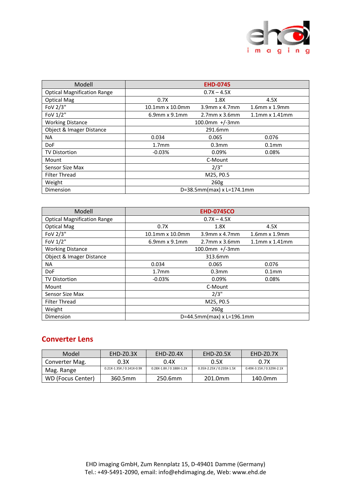

| Modell                             | <b>EHD-0745</b>              |                     |                      |  |
|------------------------------------|------------------------------|---------------------|----------------------|--|
| <b>Optical Magnification Range</b> | $0.7X - 4.5X$                |                     |                      |  |
| <b>Optical Mag</b>                 | 0.7X                         | 1.8X                | 4.5X                 |  |
| FoV 2/3"                           | 10.1mm x 10.0mm              | $3.9$ mm x 4.7mm    | $1.6$ mm x $1.9$ mm  |  |
| FoV 1/2"                           | $6.9$ mm x $9.1$ mm          | $2.7$ mm x $3.6$ mm | $1.1$ mm x $1.41$ mm |  |
| <b>Working Distance</b>            |                              | $100.0$ mm +/-3mm   |                      |  |
| Object & Imager Distance           | 291.6mm                      |                     |                      |  |
| NA.                                | 0.034                        | 0.065               | 0.076                |  |
| <b>DoF</b>                         | 1.7 <sub>mm</sub>            | 0.3 <sub>mm</sub>   | 0.1 <sub>mm</sub>    |  |
| <b>TV Distortion</b>               | $-0.03%$                     | 0.09%               | 0.08%                |  |
| Mount                              | C-Mount                      |                     |                      |  |
| Sensor Size Max                    | 2/3"                         |                     |                      |  |
| <b>Filter Thread</b>               | M25, P0.5                    |                     |                      |  |
| Weight                             | 260 <sub>g</sub>             |                     |                      |  |
| Dimension                          | $D=38.5$ mm(max) x L=174.1mm |                     |                      |  |

| Modell                             | <b>EHD-0745CO</b>         |                     |                      |  |
|------------------------------------|---------------------------|---------------------|----------------------|--|
| <b>Optical Magnification Range</b> | $0.7X - 4.5X$             |                     |                      |  |
| <b>Optical Mag</b>                 | 0.7X                      | 1.8X                | 4.5X                 |  |
| FoV 2/3"                           | 10.1mm x 10.0mm           | $3.9$ mm x 4.7mm    | $1.6$ mm x $1.9$ mm  |  |
| FoV 1/2"                           | $6.9$ mm x $9.1$ mm       | $2.7$ mm x $3.6$ mm | $1.1$ mm x $1.41$ mm |  |
| <b>Working Distance</b>            |                           | $100.0$ mm +/-3mm   |                      |  |
| Object & Imager Distance           | 313.6mm                   |                     |                      |  |
| <b>NA</b>                          | 0.034                     | 0.065               | 0.076                |  |
| <b>DoF</b>                         | 1.7 <sub>mm</sub>         | 0.3 <sub>mm</sub>   | 0.1 <sub>mm</sub>    |  |
| <b>TV Distortion</b>               | $-0.03%$                  | 0.09%               | 0.08%                |  |
| Mount                              | C-Mount                   |                     |                      |  |
| Sensor Size Max                    | 2/3"                      |                     |                      |  |
| <b>Filter Thread</b>               | M25, P0.5                 |                     |                      |  |
| Weight                             | 260g                      |                     |                      |  |
| Dimension                          | D=44.5mm(max) x L=196.1mm |                     |                      |  |

#### **Converter Lens**

| Model             | EHD-Z0.3X                 | EHD-Z0.4X                | <b>EHD-Z0.5X</b>          | <b>EHD-Z0.7X</b>          |
|-------------------|---------------------------|--------------------------|---------------------------|---------------------------|
| Converter Mag.    | 0.3X                      | 0.4X                     | 0.5X                      | 0.7X                      |
| Mag. Range        | 0.21X-1.35X / 0.141X-0.9X | $0.28X-1.8X/0.188X-1.2X$ | 0.35X-2.25X / 0.235X-1.5X | 0.49X-3.15X / 0.329X-2.1X |
| WD (Focus Center) | 360.5mm                   | 250.6mm                  | 201.0mm                   | 140.0mm                   |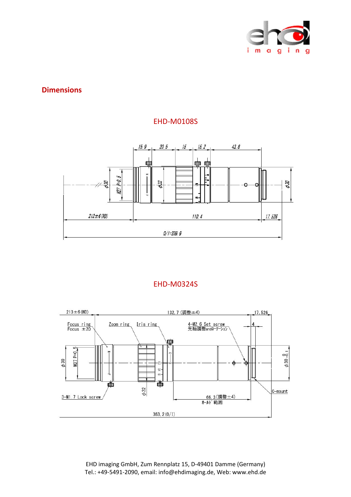

#### **Dimensions**

#### EHD‐M0108S



#### EHD‐M0324S

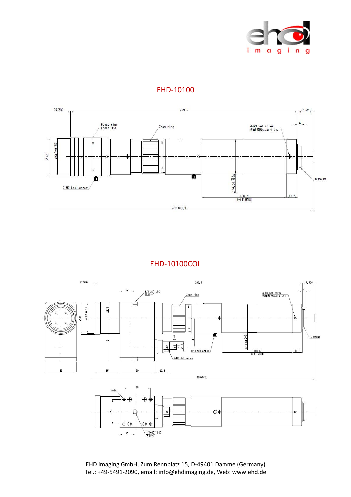

#### EHD‐10100



#### EHD‐10100COL

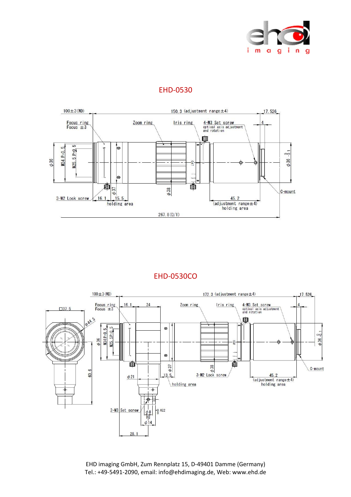

#### EHD‐0530



#### EHD‐0530CO

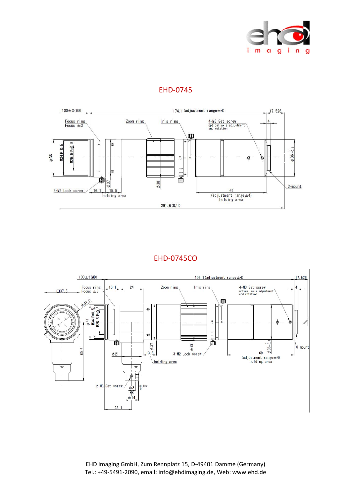

#### EHD‐0745



#### EHD‐0745CO